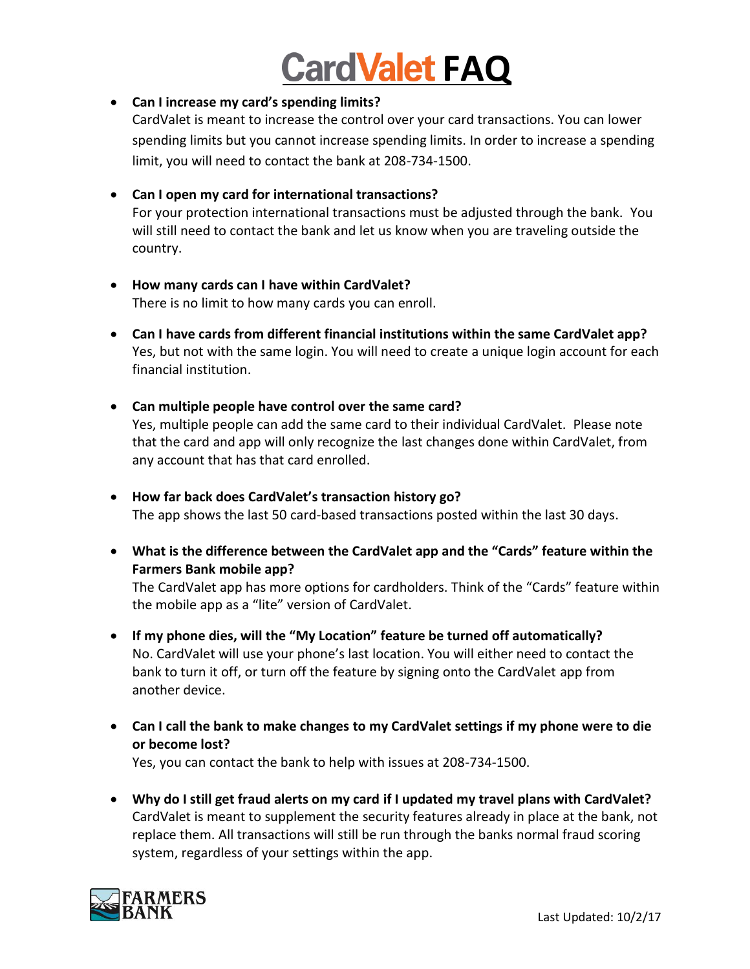# **CardValet FAQ**

## **Can I increase my card's spending limits?**

CardValet is meant to increase the control over your card transactions. You can lower spending limits but you cannot increase spending limits. In order to increase a spending limit, you will need to contact the bank at 208-734-1500.

#### **Can I open my card for international transactions?**

For your protection international transactions must be adjusted through the bank. You will still need to contact the bank and let us know when you are traveling outside the country.

- **How many cards can I have within CardValet?** There is no limit to how many cards you can enroll.
- **Can I have cards from different financial institutions within the same CardValet app?** Yes, but not with the same login. You will need to create a unique login account for each financial institution.
- **Can multiple people have control over the same card?** Yes, multiple people can add the same card to their individual CardValet. Please note that the card and app will only recognize the last changes done within CardValet, from any account that has that card enrolled.
- **How far back does CardValet's transaction history go?** The app shows the last 50 card-based transactions posted within the last 30 days.
- **What is the difference between the CardValet app and the "Cards" feature within the Farmers Bank mobile app?**

The CardValet app has more options for cardholders. Think of the "Cards" feature within the mobile app as a "lite" version of CardValet.

- **If my phone dies, will the "My Location" feature be turned off automatically?** No. CardValet will use your phone's last location. You will either need to contact the bank to turn it off, or turn off the feature by signing onto the CardValet app from another device.
- **Can I call the bank to make changes to my CardValet settings if my phone were to die or become lost?**

Yes, you can contact the bank to help with issues at 208-734-1500.

 **Why do I still get fraud alerts on my card if I updated my travel plans with CardValet?**  CardValet is meant to supplement the security features already in place at the bank, not replace them. All transactions will still be run through the banks normal fraud scoring system, regardless of your settings within the app.